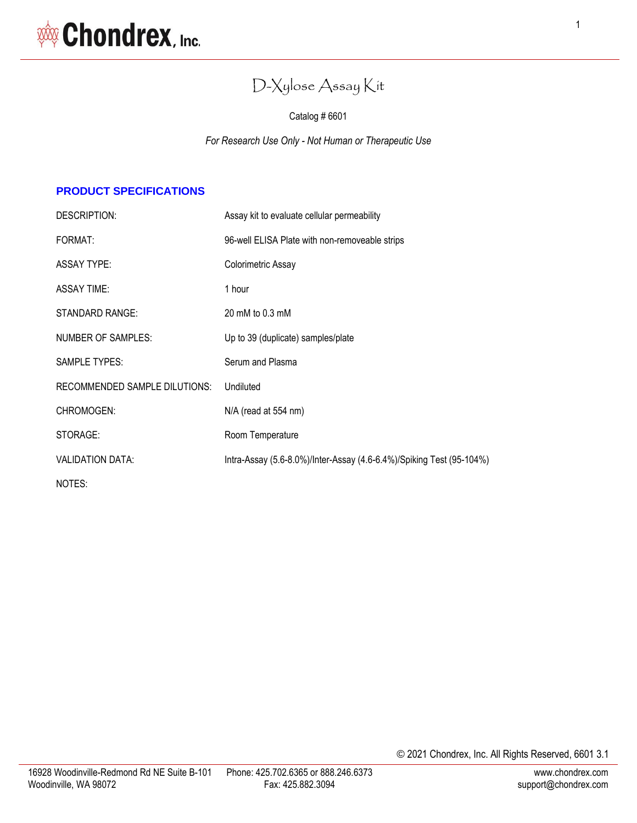# D-Xylose Assay Kit

Catalog # 6601

*For Research Use Only - Not Human or Therapeutic Use*

# **PRODUCT SPECIFICATIONS**

| DESCRIPTION:                         | Assay kit to evaluate cellular permeability                          |  |
|--------------------------------------|----------------------------------------------------------------------|--|
| FORMAT:                              | 96-well ELISA Plate with non-removeable strips                       |  |
| <b>ASSAY TYPE:</b>                   | Colorimetric Assay                                                   |  |
| ASSAY TIME:                          | 1 hour                                                               |  |
| <b>STANDARD RANGE:</b>               | 20 mM to 0.3 mM                                                      |  |
| NUMBER OF SAMPLES:                   | Up to 39 (duplicate) samples/plate                                   |  |
| <b>SAMPLE TYPES:</b>                 | Serum and Plasma                                                     |  |
| <b>RECOMMENDED SAMPLE DILUTIONS:</b> | Undiluted                                                            |  |
| CHROMOGEN:                           | N/A (read at 554 nm)                                                 |  |
| STORAGE:                             | Room Temperature                                                     |  |
| <b>VALIDATION DATA:</b>              | Intra-Assay (5.6-8.0%)/Inter-Assay (4.6-6.4%)/Spiking Test (95-104%) |  |
| NOTES:                               |                                                                      |  |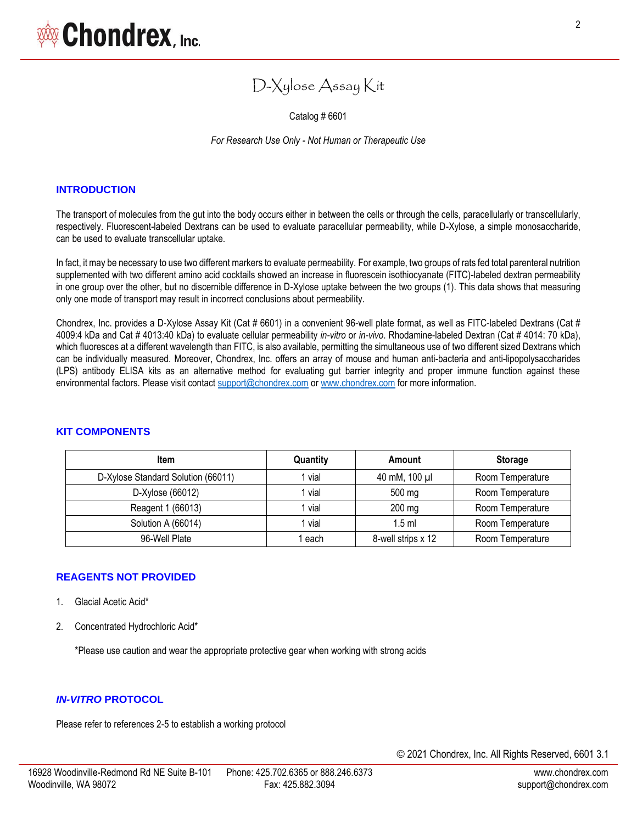Catalog # 6601

*For Research Use Only - Not Human or Therapeutic Use*

#### **INTRODUCTION**

The transport of molecules from the gut into the body occurs either in between the cells or through the cells, paracellularly or transcellularly, respectively. Fluorescent-labeled Dextrans can be used to evaluate paracellular permeability, while D-Xylose, a simple monosaccharide, can be used to evaluate transcellular uptake.

In fact, it may be necessary to use two different markers to evaluate permeability. For example, two groups of rats fed total parenteral nutrition supplemented with two different amino acid cocktails showed an increase in fluorescein isothiocyanate (FITC)-labeled dextran permeability in one group over the other, but no discernible difference in D-Xylose uptake between the two groups (1). This data shows that measuring only one mode of transport may result in incorrect conclusions about permeability.

Chondrex, Inc. provides a D-Xylose Assay Kit (Cat # 6601) in a convenient 96-well plate format, as well as FITC-labeled Dextrans (Cat # 4009:4 kDa and Cat # 4013:40 kDa) to evaluate cellular permeability *in-vitro* or *in-vivo*. Rhodamine-labeled Dextran (Cat # 4014: 70 kDa), which fluoresces at a different wavelength than FITC, is also available, permitting the simultaneous use of two different sized Dextrans which can be individually measured. Moreover, Chondrex, Inc. offers an array of mouse and human anti-bacteria and anti-lipopolysaccharides (LPS) antibody ELISA kits as an alternative method for evaluating gut barrier integrity and proper immune function against these environmental factors. Please visit contac[t support@chondrex.com](mailto:support@chondrex.com) o[r www.chondrex.com](http://www.chondrex.com/) for more information.

| Item                               | Quantity | Amount             | <b>Storage</b>   |
|------------------------------------|----------|--------------------|------------------|
| D-Xylose Standard Solution (66011) | l vial   | 40 mM, 100 µl      | Room Temperature |
| D-Xylose (66012)                   | l vial   | 500 mg             | Room Temperature |
| Reagent 1 (66013)                  | l vial   | 200 mg             | Room Temperature |
| Solution A (66014)                 | vial     | $1.5$ ml           | Room Temperature |
| 96-Well Plate                      | l each   | 8-well strips x 12 | Room Temperature |

#### **KIT COMPONENTS**

#### **REAGENTS NOT PROVIDED**

- 1. Glacial Acetic Acid\*
- 2. Concentrated Hydrochloric Acid\*

\*Please use caution and wear the appropriate protective gear when working with strong acids

#### *IN-VITRO* **PROTOCOL**

Please refer to references 2-5 to establish a working protocol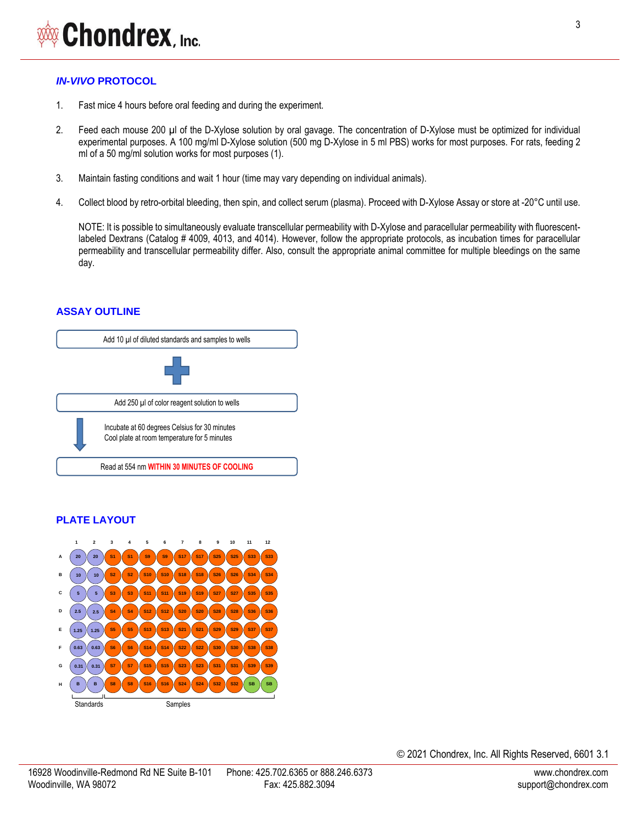# *IN-VIVO* **PROTOCOL**

- 1. Fast mice 4 hours before oral feeding and during the experiment.
- 2. Feed each mouse 200 µl of the D-Xylose solution by oral gavage. The concentration of D-Xylose must be optimized for individual experimental purposes. A 100 mg/ml D-Xylose solution (500 mg D-Xylose in 5 ml PBS) works for most purposes. For rats, feeding 2 ml of a 50 mg/ml solution works for most purposes (1).
- 3. Maintain fasting conditions and wait 1 hour (time may vary depending on individual animals).
- 4. Collect blood by retro-orbital bleeding, then spin, and collect serum (plasma). Proceed with D-Xylose Assay or store at -20°C until use.

NOTE: It is possible to simultaneously evaluate transcellular permeability with D-Xylose and paracellular permeability with fluorescentlabeled Dextrans (Catalog # 4009, 4013, and 4014). However, follow the appropriate protocols, as incubation times for paracellular permeability and transcellular permeability differ. Also, consult the appropriate animal committee for multiple bleedings on the same day.

# **ASSAY OUTLINE**



# **PLATE LAYOUT**



© 2021 Chondrex, Inc. All Rights Reserved, 6601 3.1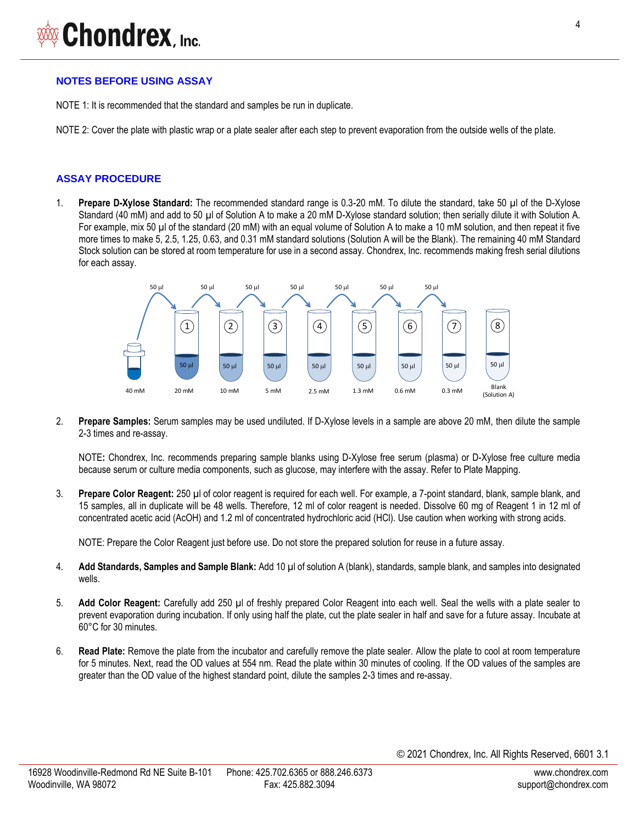#### **NOTES BEFORE USING ASSAY**

NOTE 1: It is recommended that the standard and samples be run in duplicate.

NOTE 2: Cover the plate with plastic wrap or a plate sealer after each step to prevent evaporation from the outside wells of the plate.

#### **ASSAY PROCEDURE**

1. **Prepare D-Xylose Standard:** The recommended standard range is 0.3-20 mM. To dilute the standard, take 50 µl of the D-Xylose Standard (40 mM) and add to 50 µl of Solution A to make a 20 mM D-Xylose standard solution; then serially dilute it with Solution A. For example, mix 50 µl of the standard (20 mM) with an equal volume of Solution A to make a 10 mM solution, and then repeat it five more times to make 5, 2.5, 1.25, 0.63, and 0.31 mM standard solutions (Solution A will be the Blank). The remaining 40 mM Standard Stock solution can be stored at room temperature for use in a second assay. Chondrex, Inc. recommends making fresh serial dilutions for each assay.



2. **Prepare Samples:** Serum samples may be used undiluted. If D-Xylose levels in a sample are above 20 mM, then dilute the sample 2-3 times and re-assay.

NOTE**:** Chondrex, Inc. recommends preparing sample blanks using D-Xylose free serum (plasma) or D-Xylose free culture media because serum or culture media components, such as glucose, may interfere with the assay. Refer to Plate Mapping.

3. **Prepare Color Reagent:** 250 µl of color reagent is required for each well. For example, a 7-point standard, blank, sample blank, and 15 samples, all in duplicate will be 48 wells. Therefore, 12 ml of color reagent is needed. Dissolve 60 mg of Reagent 1 in 12 ml of concentrated acetic acid (AcOH) and 1.2 ml of concentrated hydrochloric acid (HCl). Use caution when working with strong acids.

NOTE: Prepare the Color Reagent just before use. Do not store the prepared solution for reuse in a future assay.

- 4. **Add Standards, Samples and Sample Blank:** Add 10 µl of solution A (blank), standards, sample blank, and samples into designated wells.
- 5. **Add Color Reagent:** Carefully add 250 µl of freshly prepared Color Reagent into each well. Seal the wells with a plate sealer to prevent evaporation during incubation. If only using half the plate, cut the plate sealer in half and save for a future assay. Incubate at 60°C for 30 minutes.
- 6. **Read Plate:** Remove the plate from the incubator and carefully remove the plate sealer. Allow the plate to cool at room temperature for 5 minutes. Next, read the OD values at 554 nm. Read the plate within 30 minutes of cooling. If the OD values of the samples are greater than the OD value of the highest standard point, dilute the samples 2-3 times and re-assay.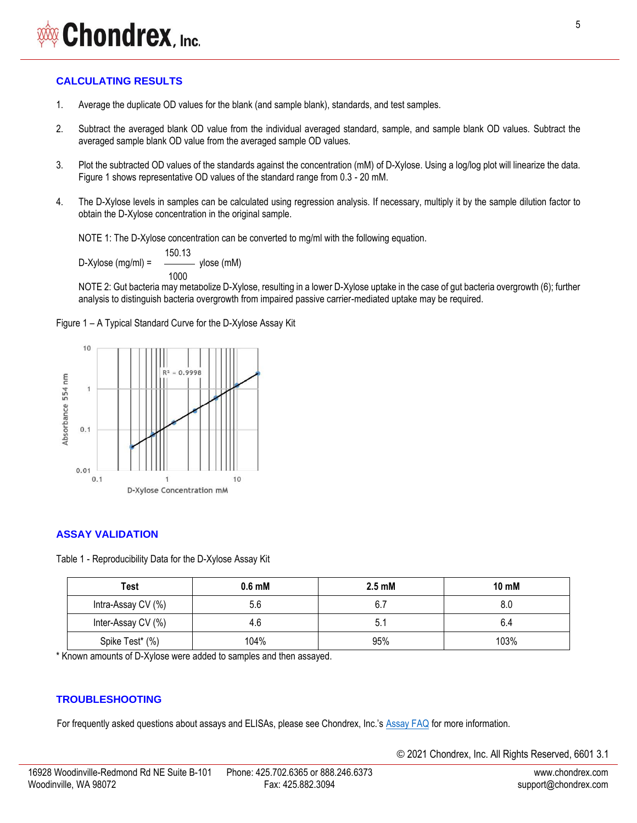# Chondrex, Inc.

# **CALCULATING RESULTS**

- 1. Average the duplicate OD values for the blank (and sample blank), standards, and test samples.
- 2. Subtract the averaged blank OD value from the individual averaged standard, sample, and sample blank OD values. Subtract the averaged sample blank OD value from the averaged sample OD values.
- 3. Plot the subtracted OD values of the standards against the concentration (mM) of D-Xylose. Using a log/log plot will linearize the data. Figure 1 shows representative OD values of the standard range from 0.3 - 20 mM.
- 4. The D-Xylose levels in samples can be calculated using regression analysis. If necessary, multiply it by the sample dilution factor to obtain the D-Xylose concentration in the original sample.

NOTE 1: The D-Xylose concentration can be converted to mg/ml with the following equation.

D-Xylose (mg/ml) = x D-Xylose (mM) 150.13 1000

NOTE 2: Gut bacteria may metabolize D-Xylose, resulting in a lower D-Xylose uptake in the case of gut bacteria overgrowth (6); further analysis to distinguish bacteria overgrowth from impaired passive carrier-mediated uptake may be required.

Figure 1 – A Typical Standard Curve for the D-Xylose Assay Kit



## **ASSAY VALIDATION**

Table 1 - Reproducibility Data for the D-Xylose Assay Kit

| Test               | $0.6$ mM | $2.5 \text{ }\mathrm{m}$ M | 10 mM |
|--------------------|----------|----------------------------|-------|
| Intra-Assay CV (%) | 5.6      | 6.7                        |       |
| Inter-Assay CV (%) | 4.6      |                            | 6.4   |
| Spike Test* (%)    | 104%     | 95%                        | 103%  |

\* Known amounts of D-Xylose were added to samples and then assayed.

## **TROUBLESHOOTING**

For frequently asked questions about assays and ELISAs, please see Chondrex, Inc.'s [Assay FAQ](https://www.chondrex.com/documents/ELISA-FAQ.pdf) for more information.

© 2021 Chondrex, Inc. All Rights Reserved, 6601 3.1